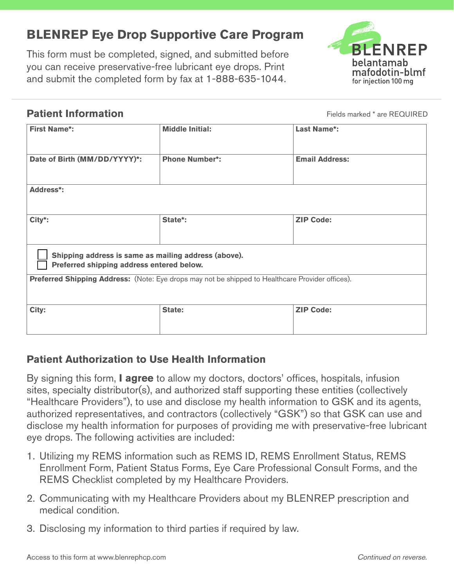# **BLENREP Eye Drop Supportive Care Program**

This form must be completed, signed, and submitted before you can receive preservative-free lubricant eye drops. Print and submit the completed form by fax at 1-888-635-1044.



#### **Patient Information**

Fields marked \* are REQUIRED

| <b>First Name*:</b>                                                                               | <b>Middle Initial:</b> | <b>Last Name*:</b>    |
|---------------------------------------------------------------------------------------------------|------------------------|-----------------------|
| Date of Birth (MM/DD/YYYY)*:                                                                      | <b>Phone Number*:</b>  | <b>Email Address:</b> |
| <b>Address*:</b>                                                                                  |                        |                       |
| City*:                                                                                            | State*:                | <b>ZIP Code:</b>      |
| Shipping address is same as mailing address (above).<br>Preferred shipping address entered below. |                        |                       |
| Preferred Shipping Address: (Note: Eye drops may not be shipped to Healthcare Provider offices).  |                        |                       |
| City:                                                                                             | State:                 | <b>ZIP Code:</b>      |

#### **Patient Authorization to Use Health Information**

By signing this form, **I agree** to allow my doctors, doctors' offices, hospitals, infusion sites, specialty distributor(s), and authorized staff supporting these entities (collectively "Healthcare Providers"), to use and disclose my health information to GSK and its agents, authorized representatives, and contractors (collectively "GSK") so that GSK can use and disclose my health information for purposes of providing me with preservative-free lubricant eye drops. The following activities are included:

- 1. Utilizing my REMS information such as REMS ID, REMS Enrollment Status, REMS Enrollment Form, Patient Status Forms, Eye Care Professional Consult Forms, and the REMS Checklist completed by my Healthcare Providers.
- 2. Communicating with my Healthcare Providers about my BLENREP prescription and medical condition.
- 3. Disclosing my information to third parties if required by law.